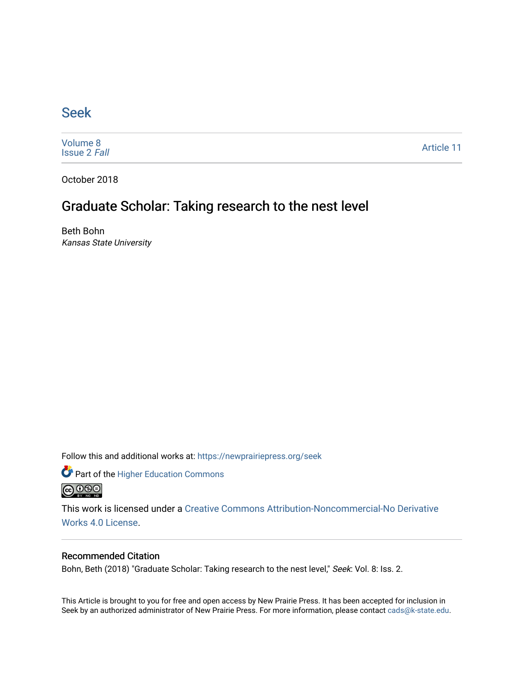### [Seek](https://newprairiepress.org/seek)

[Volume 8](https://newprairiepress.org/seek/vol8) [Issue 2](https://newprairiepress.org/seek/vol8/iss2) Fall

[Article 11](https://newprairiepress.org/seek/vol8/iss2/11) 

October 2018

## Graduate Scholar: Taking research to the nest level

Beth Bohn Kansas State University

Follow this and additional works at: [https://newprairiepress.org/seek](https://newprairiepress.org/seek?utm_source=newprairiepress.org%2Fseek%2Fvol8%2Fiss2%2F11&utm_medium=PDF&utm_campaign=PDFCoverPages)

Part of the [Higher Education Commons](http://network.bepress.com/hgg/discipline/1245?utm_source=newprairiepress.org%2Fseek%2Fvol8%2Fiss2%2F11&utm_medium=PDF&utm_campaign=PDFCoverPages) 



This work is licensed under a [Creative Commons Attribution-Noncommercial-No Derivative](https://creativecommons.org/licenses/by-nc-nd/4.0/)  [Works 4.0 License](https://creativecommons.org/licenses/by-nc-nd/4.0/).

### Recommended Citation

Bohn, Beth (2018) "Graduate Scholar: Taking research to the nest level," Seek: Vol. 8: Iss. 2.

This Article is brought to you for free and open access by New Prairie Press. It has been accepted for inclusion in Seek by an authorized administrator of New Prairie Press. For more information, please contact [cads@k-state.edu](mailto:cads@k-state.edu).